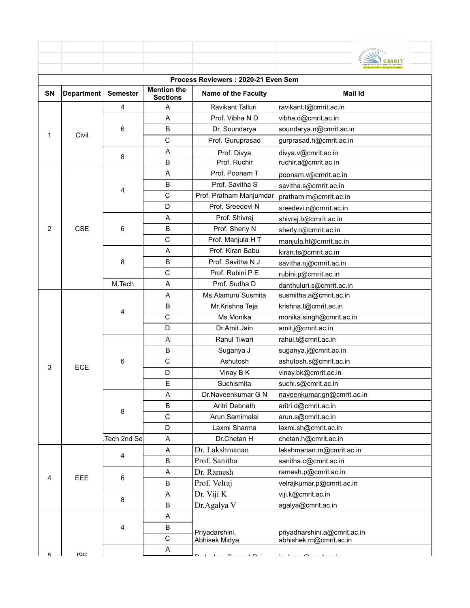| Process Reviewers: 2020-21 Even Sem |                   |                 |                                       |                                      |                                                        |  |  |
|-------------------------------------|-------------------|-----------------|---------------------------------------|--------------------------------------|--------------------------------------------------------|--|--|
| SN                                  | <b>Department</b> | <b>Semester</b> | <b>Mention the</b><br><b>Sections</b> | <b>Name of the Faculty</b>           | <b>Mail Id</b>                                         |  |  |
| 1                                   |                   | 4               | A                                     | Ravikant Talluri                     | ravikant.t@cmrit.ac.in                                 |  |  |
|                                     | Civil             |                 | A                                     | Prof. Vibha N D                      | vibha.d@cmrit.ac.in                                    |  |  |
|                                     |                   | 6               | B                                     | Dr. Soundarya                        | soundarya.n@cmrit.ac.in                                |  |  |
|                                     |                   |                 | $\mathsf C$                           | Prof. Guruprasad                     | gurprasad.h@cmrit.ac.in                                |  |  |
|                                     |                   | 8               | A                                     | Prof. Divya                          | divya.v@cmrit.ac.in                                    |  |  |
|                                     |                   |                 | B                                     | Prof. Ruchir                         | ruchir.a@cmrit.ac.in                                   |  |  |
|                                     |                   |                 | A                                     | Prof. Poonam T                       | poonam.v@cmrit.ac.in                                   |  |  |
|                                     | <b>CSE</b>        |                 | B                                     | Prof. Savitha S                      | savitha.s@cmrit.ac.in                                  |  |  |
|                                     |                   | 4               | $\mathsf C$                           | Prof. Pratham Manjumdar              | pratham.m@cmrit.ac.in                                  |  |  |
|                                     |                   |                 | D                                     | Prof. Sreedevi N                     | sreedevi.n@cmrit.ac.in                                 |  |  |
| $\overline{2}$                      |                   |                 | Α                                     | Prof. Shivraj                        | shivraj.b@cmrit.ac.in                                  |  |  |
|                                     |                   | 6               | B                                     | Prof. Sherly N                       | sherly.n@cmrit.ac.in                                   |  |  |
|                                     |                   |                 | C                                     | Prof. Manjula HT                     | manjula.ht@cmrit.ac.in                                 |  |  |
|                                     |                   |                 | A                                     | Prof. Kiran Babu                     | kiran.ts@cmrit.ac.in                                   |  |  |
|                                     |                   | 8               | B                                     | Prof. Savitha N J                    | savitha.nj@cmrit.ac.in                                 |  |  |
|                                     |                   |                 | C                                     | Prof. Rubini P E                     | rubini.p@cmrit.ac.in                                   |  |  |
|                                     |                   | M.Tech          | A                                     | Prof. Sudha D                        | danthuluri.s@cmrit.ac.in                               |  |  |
|                                     | ECE               | 4               | Α                                     | Ms.Alamuru Susmita                   | susmitha.a@cmrit.ac.in                                 |  |  |
|                                     |                   |                 | B                                     | Mr.Krishna Teja                      | krishna.t@cmrit.ac.in                                  |  |  |
|                                     |                   |                 | $\mathsf C$                           | Ms.Monika                            | monika.singh@cmrit.ac.in                               |  |  |
|                                     |                   |                 | D                                     | Dr.Amit Jain                         | amit.j@cmrit.ac.in                                     |  |  |
|                                     |                   |                 | A                                     | Rahul Tiwari                         | rahul.t@cmrit.ac.in                                    |  |  |
|                                     |                   |                 | B                                     | Suganya J                            | suganya.j@cmrit.ac.in                                  |  |  |
|                                     |                   | 6               | $\mathsf C$                           | Ashutosh                             | ashutosh.s@cmrit.ac.in                                 |  |  |
| 3                                   |                   |                 | D                                     | Vinay B K                            | vinay.bk@cmrit.ac.in                                   |  |  |
|                                     |                   |                 | E                                     | Suchismita                           | suchi.s@cmrit.ac.in                                    |  |  |
|                                     |                   | 8               | A                                     | Dr.Naveenkumar G N                   | naveenkumar.gn@cmrit.ac.in                             |  |  |
|                                     |                   |                 | B                                     | Aritri Debnath                       | aritri.d@cmrit.ac.in                                   |  |  |
|                                     |                   |                 | $\mathsf{C}$                          | Arun Samimalai                       | arun.s@cmrit.ac.in                                     |  |  |
|                                     |                   |                 | D                                     | Laxmi Sharma                         | laxmi.sh@cmrit.ac.in                                   |  |  |
|                                     |                   | Tech 2nd Se     | Α                                     | Dr.Chetan H                          | chetan.h@cmrit.ac.in                                   |  |  |
|                                     | EEE               | 4               | Α                                     | Dr. Lakshmanan                       | lakshmanan.m@cmrit.ac.in                               |  |  |
|                                     |                   |                 | $\sf B$                               | Prof. Sanitha                        | sanitha.c@cmrit.ac.in                                  |  |  |
|                                     |                   | 6               | A                                     | Dr. Ramesh                           | ramesh.p@cmrit.ac.in                                   |  |  |
| 4                                   |                   |                 | B                                     | Prof. Velraj                         | velrajkumar.p@cmrit.ac.in                              |  |  |
|                                     |                   | 8               | Α                                     | Dr. Viji K                           | viji.k@cmrit.ac.in                                     |  |  |
|                                     |                   |                 | B                                     | Dr.Agalya V                          | agalya@cmrit.ac.in                                     |  |  |
|                                     |                   | 4               | A                                     | Priyadarshini,                       |                                                        |  |  |
|                                     |                   |                 | B                                     |                                      |                                                        |  |  |
|                                     |                   |                 | C                                     | Abhisek Midya                        | priyadharshini.a@cmrit.ac.in<br>abhishek.m@cmrit.ac.in |  |  |
|                                     |                   |                 | Α                                     |                                      |                                                        |  |  |
| г.                                  | ICF               |                 |                                       | na taalana Aaminat <mark>n</mark> at | ta a basar a <b>co</b> nsulta a a ta                   |  |  |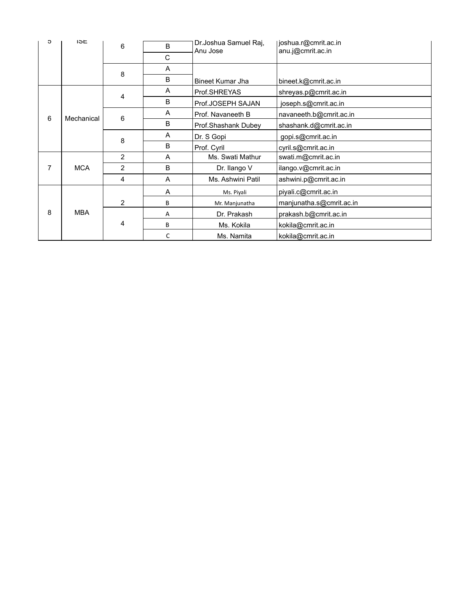| c | <b>ISE</b> | 6              | B            | Dr. Joshua Samuel Raj, | joshua.r@cmrit.ac.in     |
|---|------------|----------------|--------------|------------------------|--------------------------|
|   |            |                | C            | Anu Jose               | anu.j@cmrit.ac.in        |
|   |            |                | A            |                        |                          |
|   |            | 8              | B            | Bineet Kumar Jha       | bineet.k@cmrit.ac.in     |
|   |            | 4              | A            | Prof.SHREYAS           | shreyas.p@cmrit.ac.in    |
| 6 | Mechanical |                | B            | Prof.JOSEPH SAJAN      | joseph.s@cmrit.ac.in     |
|   |            | 6              | A            | Prof. Navaneeth B      | navaneeth.b@cmrit.ac.in  |
|   |            |                | B            | Prof.Shashank Dubey    | shashank.d@cmrit.ac.in   |
|   |            | 8              | A            | Dr. S Gopi             | gopi.s@cmrit.ac.in       |
|   |            |                | B            | Prof. Cyril            | cyril.s@cmrit.ac.in      |
|   |            | $\overline{2}$ | A            | Ms. Swati Mathur       | swati.m@cmrit.ac.in      |
| 7 | <b>MCA</b> | $\overline{2}$ | B            | Dr. Ilango V           | ilango.v@cmrit.ac.in     |
|   |            | 4              | $\mathsf{A}$ | Ms. Ashwini Patil      | ashwini.p@cmrit.ac.in    |
|   |            |                | Α            | Ms. Piyali             | piyali.c@cmrit.ac.in     |
|   |            | $\overline{2}$ | B            | Mr. Manjunatha         | manjunatha.s@cmrit.ac.in |
| 8 | <b>MBA</b> |                | A            | Dr. Prakash            | prakash.b@cmrit.ac.in    |
|   |            | 4              | B            | Ms. Kokila             | kokila@cmrit.ac.in       |
|   |            |                | C            | Ms. Namita             | kokila@cmrit.ac.in       |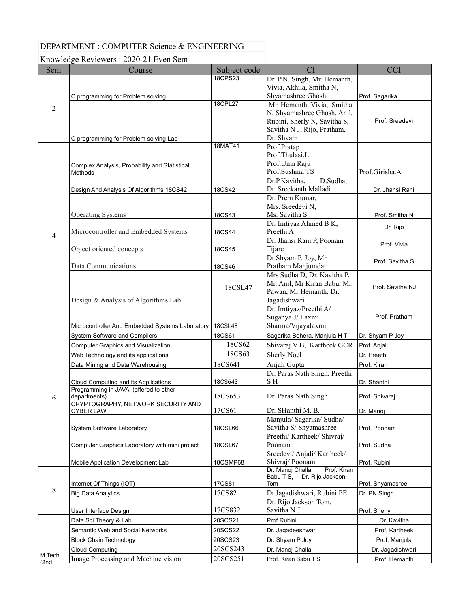## DEPARTMENT : COMPUTER Science & ENGINEERING

Knowledge Reviewers : 2020-21 Even Sem

| Sem             | Course                                                 | Subject code   | CI                                                                | <b>CCI</b>       |
|-----------------|--------------------------------------------------------|----------------|-------------------------------------------------------------------|------------------|
|                 |                                                        | <b>18CPS23</b> | Dr. P.N. Singh, Mr. Hemanth,                                      |                  |
|                 |                                                        |                | Vivia, Akhila, Smitha N,                                          |                  |
|                 | C programming for Problem solving                      |                | Shyamashree Ghosh                                                 | Prof. Sagarika   |
| $\overline{c}$  |                                                        | 18CPL27        | Mr. Hemanth, Vivia, Smitha                                        |                  |
|                 |                                                        |                | N, Shyamashree Ghosh, Anil,                                       |                  |
|                 |                                                        |                | Rubini, Sherly N, Savitha S,<br>Savitha N J, Rijo, Pratham,       | Prof. Sreedevi   |
|                 | C programming for Problem solving Lab                  |                | Dr. Shyam                                                         |                  |
|                 |                                                        | 18MAT41        | Prof.Pratap                                                       |                  |
|                 |                                                        |                | Prof.Thulasi.L                                                    |                  |
|                 | Complex Analysis, Probability and Statistical          |                | Prof.Uma Raju                                                     |                  |
|                 | Methods                                                |                | Prof.Sushma TS                                                    | Prof.Girisha.A   |
|                 |                                                        |                | Dr.P.Kavitha,<br>D.Sudha,                                         |                  |
|                 | Design And Analysis Of Algorithms 18CS42               | 18CS42         | Dr. Sreekanth Malladi                                             | Dr. Jhansi Rani  |
|                 |                                                        |                | Dr. Prem Kumar,                                                   |                  |
|                 |                                                        |                | Mrs. Sreedevi N,                                                  |                  |
|                 | <b>Operating Systems</b>                               | 18CS43         | Ms. Savitha S                                                     | Prof. Smitha N   |
|                 | Microcontroller and Embedded Systems                   | 18CS44         | Dr. Imtiyaz Ahmed B K,<br>Preethi A                               | Dr. Rijo         |
| 4               |                                                        |                | Dr. Jhansi Rani P, Poonam                                         |                  |
|                 | Object oriented concepts                               | 18CS45         | Tijare                                                            | Prof. Vivia      |
|                 |                                                        |                | Dr.Shyam P. Joy, Mr.                                              | Prof. Savitha S  |
|                 | Data Communications                                    | 18CS46         | Pratham Manjumdar                                                 |                  |
|                 |                                                        |                | Mrs Sudha D, Dr. Kavitha P,                                       |                  |
|                 |                                                        | 18CSL47        | Mr. Anil, Mr Kiran Babu, Mr.                                      | Prof. Savitha NJ |
|                 |                                                        |                | Pawan, Mr Hemanth, Dr.                                            |                  |
|                 | Design & Analysis of Algorithms Lab                    |                | Jagadishwari                                                      |                  |
|                 |                                                        |                | Dr. Imtiyaz/Preethi A/<br>Suganya J/ Laxmi                        | Prof. Pratham    |
|                 | Microcontroller And Embedded Systems Laboratory        | <b>18CSL48</b> | Sharma/Vijayalaxmi                                                |                  |
|                 | System Software and Compilers                          | 18CS61         | Sagarika Behera, Manjula HT                                       | Dr. Shyam P Joy  |
|                 | <b>Computer Graphics and Visualization</b>             | 18CS62         | Shivaraj V B, Kartheek GCR                                        | Prof. Anjali     |
|                 | Web Technology and its applications                    | 18CS63         | <b>Sherly Noel</b>                                                | Dr. Preethi      |
|                 |                                                        | 18CS641        | Anjali Gupta                                                      | Prof. Kiran      |
|                 | Data Mining and Data Warehousing                       |                | Dr. Paras Nath Singh, Preethi                                     |                  |
|                 | Cloud Computing and its Applications                   | 18CS643        | SH                                                                | Dr. Shanthi      |
|                 | Programming in JAVA (offered to other                  |                |                                                                   |                  |
| 6               | departments)                                           | 18CS653        | Dr. Paras Nath Singh                                              | Prof. Shivaraj   |
|                 | CRYPTOGRAPHY, NETWORK SECURITY AND<br><b>CYBER LAW</b> | 17CS61         | Dr. SHanthi M. B.                                                 | Dr. Manoj        |
|                 |                                                        |                | Manjula/ Sagarika/ Sudha/                                         |                  |
|                 | System Software Laboratory                             | <b>18CSL66</b> | Savitha S/ Shyamashree                                            | Prof. Poonam     |
|                 |                                                        |                | Preethi/ Kartheek/ Shivraj/                                       |                  |
|                 | Computer Graphics Laboratory with mini project         | 18CSL67        | Poonam                                                            | Prof. Sudha      |
|                 |                                                        |                | Sreedevi/ Anjali/ Kartheek/                                       |                  |
|                 | Mobile Application Development Lab                     | 18CSMP68       | Shivraj/Poonam                                                    | Prof. Rubini     |
|                 |                                                        |                | Prof. Kiran<br>Dr. Manoj Challa,<br>Dr. Rijo Jackson<br>Babu T S, |                  |
|                 | Internet Of Things (IOT)                               | 17CS81         | Tom                                                               | Prof. Shyamasree |
| 8               | <b>Big Data Analytics</b>                              | 17CS82         | Dr.Jagadishwari, Rubini PE                                        | Dr. PN Singh     |
|                 |                                                        |                | Dr. Rijo Jackson Tom,                                             |                  |
|                 | User Interface Design                                  | 17CS832        | Savitha N J                                                       | Prof. Sherly     |
|                 | Data Sci Theory & Lab                                  | 20SCS21        | Prof Rubini                                                       | Dr. Kavitha      |
|                 | Semantic Web and Social Networks                       | 20SCS22        | Dr. Jagadeeshwari                                                 | Prof. Kartheek   |
|                 | <b>Block Chain Technology</b>                          | 20SCS23        | Dr. Shyam P Joy                                                   | Prof. Manjula    |
|                 | <b>Cloud Computing</b>                                 | 20SCS243       | Dr. Manoj Challa,                                                 | Dr. Jagadishwari |
| M.Tech<br>(2nd) | Image Processing and Machine vision                    | 20SCS251       | Prof. Kiran Babu T S                                              | Prof. Hemanth    |